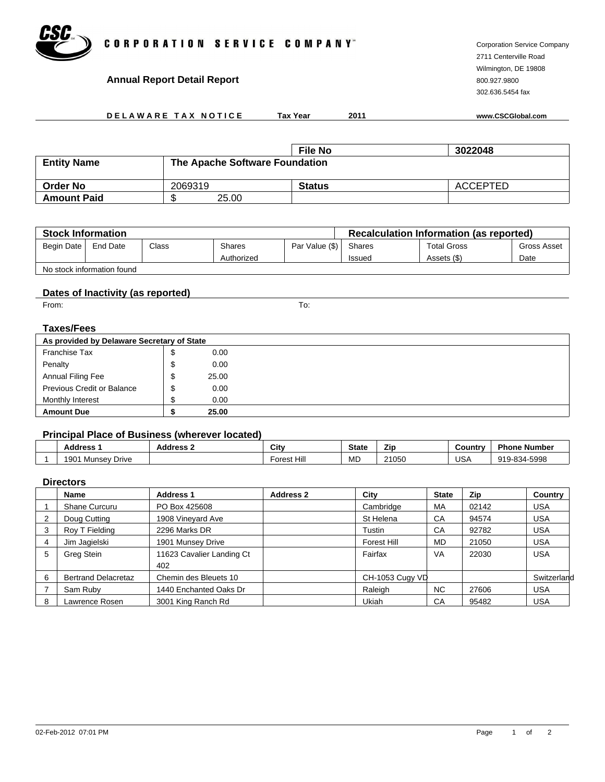

## **Annual Report Detail Report**

Corporation Service Company 2711 Centerville Road Wilmington, DE 19808 800.927.9800 302.636.5454 fax

**www.CSCGlobal.com**

|                    |                                | <b>File No</b> | 3022048  |
|--------------------|--------------------------------|----------------|----------|
| <b>Entity Name</b> | The Apache Software Foundation |                |          |
| Order No           | 2069319                        | <b>Status</b>  | ACCEPTED |
| <b>Amount Paid</b> | 25.00<br>۰П                    |                |          |

| <b>Stock Information</b>   |          |             |            |                | <b>Recalculation Information (as reported)</b> |                    |             |  |
|----------------------------|----------|-------------|------------|----------------|------------------------------------------------|--------------------|-------------|--|
| Begin Date                 | End Date | $\cap$ lass | Shares     | Par Value (\$) | Shares                                         | <b>Total Gross</b> | Gross Asset |  |
|                            |          |             | Authorized |                | Issued                                         | Assets (\$)        | Date        |  |
| No stock information found |          |             |            |                |                                                |                    |             |  |

## **Dates of Inactivity (as reported)**

From: To:

# **Taxes/Fees**

| As provided by Delaware Secretary of State |      |       |  |  |  |  |  |
|--------------------------------------------|------|-------|--|--|--|--|--|
| Franchise Tax                              | ູ    | 0.00  |  |  |  |  |  |
| Penalty                                    | -JD  | 0.00  |  |  |  |  |  |
| Annual Filing Fee                          | ึง   | 25.00 |  |  |  |  |  |
| <b>Previous Credit or Balance</b>          | ึง   | 0.00  |  |  |  |  |  |
| Monthly Interest                           | 0.00 |       |  |  |  |  |  |
| <b>Amount Due</b>                          |      | 25.00 |  |  |  |  |  |

## **Principal Place of Business (wherever located)**

| Address                 | Address . | City           | <b>State</b> | Zin   | Country    | <b>Phone Number</b> |
|-------------------------|-----------|----------------|--------------|-------|------------|---------------------|
| 1901<br>Drive<br>Munsev |           | Hill<br>-orest | MD           | 21050 | <b>USA</b> | 919-834-5998        |

## **Directors**

|   | Name                       | <b>Address 1</b>          | <b>Address 2</b> | City            | <b>State</b> | Zip   | Country     |
|---|----------------------------|---------------------------|------------------|-----------------|--------------|-------|-------------|
|   | Shane Curcuru              | PO Box 425608             |                  | Cambridge       | MA           | 02142 | <b>USA</b>  |
|   | Doug Cutting               | 1908 Vineyard Ave         |                  | St Helena       | CA           | 94574 | <b>USA</b>  |
| 3 | Roy T Fielding             | 2296 Marks DR             |                  | Tustin          | CA           | 92782 | <b>USA</b>  |
|   | Jim Jagielski              | 1901 Munsey Drive         |                  | Forest Hill     | MD           | 21050 | <b>USA</b>  |
| 5 | Greg Stein                 | 11623 Cavalier Landing Ct |                  | Fairfax         | <b>VA</b>    | 22030 | <b>USA</b>  |
|   |                            | 402                       |                  |                 |              |       |             |
| 6 | <b>Bertrand Delacretaz</b> | Chemin des Bleuets 10     |                  | CH-1053 Cugy VD |              |       | Switzerland |
|   | Sam Ruby                   | 1440 Enchanted Oaks Dr    |                  | Raleigh         | NC.          | 27606 | <b>USA</b>  |
| 8 | Lawrence Rosen             | 3001 King Ranch Rd        |                  | Ukiah           | CA           | 95482 | <b>USA</b>  |